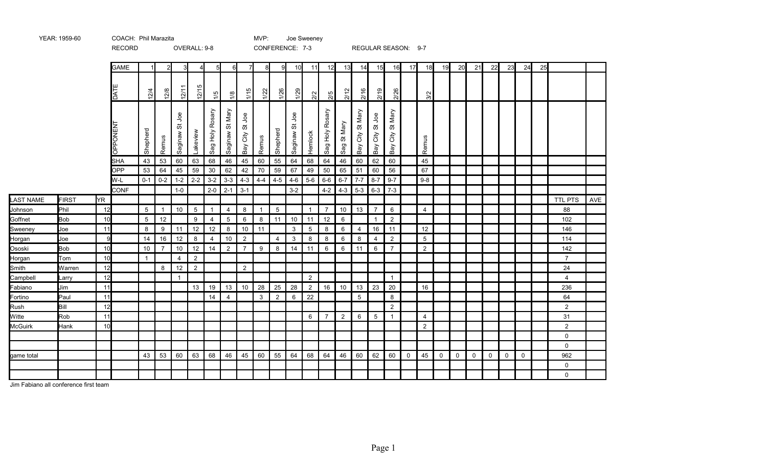|                  |              |      | RECORD          |              |                |                      | OVERALL: 9-8    |                 |                 |                                                |                |                | CONFERENCE: 7-3    |                |                          |                  |                          |                          |                        | REGULAR SEASON: 9-7 |                |    |             |             |             |             |             |    |                |     |
|------------------|--------------|------|-----------------|--------------|----------------|----------------------|-----------------|-----------------|-----------------|------------------------------------------------|----------------|----------------|--------------------|----------------|--------------------------|------------------|--------------------------|--------------------------|------------------------|---------------------|----------------|----|-------------|-------------|-------------|-------------|-------------|----|----------------|-----|
|                  |              |      | <b>GAME</b>     |              | 2              |                      | 4               | 5 <sup>1</sup>  | $6 \mid$        | $\overline{7}$                                 | 8              | -91            | 10 <sup>1</sup>    | 11             | 12                       | 13               | 14                       | 15                       | 16                     | 17                  | 18             | 19 | 20          | 21          | 22          | 23          | 24          | 25 |                |     |
|                  |              |      | TĂJ             | 12/4         | 12/8           | 12/1                 | LO.<br>12/1     | $\frac{15}{2}$  | $\frac{1}{2}$   | 1/15                                           | 1/22           | 1/26           | 1/29               | $\frac{2}{2}$  | 2/5                      | 2/12             | 2/16                     | 2/19                     | 2/26                   |                     | 3/2            |    |             |             |             |             |             |    |                |     |
|                  |              |      | <b>LN3NOddO</b> | Shepherd     | Remus          | gol<br>ゕ゙<br>Saginaw | Lakeview        | Sag Holy Rosary | Saginaw St Mary | gol<br>$\rm \widetilde{\sigma}$<br>City<br>Bay | Remus          | Shepherd       | go<br>ぁ<br>Saginaw | Hemlock        | Rosary<br>Holy<br>$s$ ag | Mary<br>5<br>Sag | Mary<br>ö<br>City<br>Bay | gol<br>5,<br>City<br>Bay | St Mary<br>City<br>Bay |                     | Remus          |    |             |             |             |             |             |    |                |     |
|                  |              |      | <b>SHA</b>      | 43           | 53             | 60                   | 63              | 68              | 46              | 45                                             | 60             | 55             | 64                 | 68             | 64                       | 46               | 60                       | 62                       | 60                     |                     | 45             |    |             |             |             |             |             |    |                |     |
|                  |              |      | <b>OPP</b>      | 53           | 64             | 45                   | 59              | 30              | 62              | 42                                             | 70             | 59             | 67                 | 49             | 50                       | 65               | 51                       | 60                       | 56                     |                     | 67             |    |             |             |             |             |             |    |                |     |
|                  |              |      | W-L             | $0 - 1$      | $0 - 2$        | $1 - 2$              | $2 - 2$         | $3 - 2$         | $3 - 3$         | $4 - 3$                                        | $4 - 4$        | $4 - 5$        | $4 - 6$            | $5-6$          | $6-6$                    | $6 - 7$          | $7 - 7$                  | $8 - 7$                  | $9 - 7$                |                     | $9-8$          |    |             |             |             |             |             |    |                |     |
|                  |              |      | <b>CONF</b>     |              |                | $1-0$                |                 | $2 - 0$         | $2 - 1$         | $3 - 1$                                        |                |                | $3 - 2$            |                | $4 - 2$                  |                  |                          | $4-3$ 5-3 6-3 7-3        |                        |                     |                |    |             |             |             |             |             |    |                |     |
| <b>LAST NAME</b> | <b>FIRST</b> | lYR. |                 |              |                |                      |                 |                 |                 |                                                |                |                |                    |                |                          |                  |                          |                          |                        |                     |                |    |             |             |             |             |             |    | <b>TTL PTS</b> | AVE |
| Johnson          | Phil         | 12   |                 | 5            | $\mathbf{1}$   | 10                   | $5\overline{)}$ | $\mathbf{1}$    | $\overline{4}$  | 8                                              | $\overline{1}$ | 5              |                    | $\mathbf{1}$   | $\overline{7}$           | 10               | 13                       | $\overline{7}$           | 6                      |                     | $\overline{4}$ |    |             |             |             |             |             |    | 88             |     |
| Goffnet          | <b>Bob</b>   | 10   |                 | 5            | 12             |                      | 9               | 4               | $\overline{5}$  | 6                                              | 8              | 11             | 10                 | 11             | 12                       | 6                |                          | $\overline{1}$           | $\overline{2}$         |                     |                |    |             |             |             |             |             |    | 102            |     |
| Sweeney          | Joe          | 11   |                 | 8            | 9              | 11                   | 12              | $12$            | 8               | 10                                             | 11             |                | 3                  | 5              | 8                        | 6                | 4                        | 16                       | 11                     |                     | 12             |    |             |             |             |             |             |    | 146            |     |
| Horgan           | Joe          | 9    |                 | 14           | 16             | 12                   | 8               | $\overline{4}$  | 10              | $\overline{2}$                                 |                | $\overline{4}$ | 3                  | 8              | 8                        | 6                | 8                        | 4                        | $\overline{2}$         |                     | 5              |    |             |             |             |             |             |    | 114            |     |
| Ososki           | <b>Bob</b>   | 10   |                 | 10           | $\overline{7}$ | 10                   | 12              | 14              | $\overline{2}$  | $\overline{7}$                                 | 9              | -8             | 14                 | 11             | 6                        | 6                | 11                       | 6                        | $\overline{7}$         |                     | $\overline{2}$ |    |             |             |             |             |             |    | 142            |     |
| Horgan           | Tom          | 10   |                 | $\mathbf{1}$ |                | $\overline{4}$       | $\overline{2}$  |                 |                 |                                                |                |                |                    |                |                          |                  |                          |                          |                        |                     |                |    |             |             |             |             |             |    | $\overline{7}$ |     |
| Smith            | Warren       | 12   |                 |              | 8              | 12                   | $\overline{2}$  |                 |                 | 2                                              |                |                |                    |                |                          |                  |                          |                          |                        |                     |                |    |             |             |             |             |             |    | 24             |     |
| Campbell         | Larry        | 12   |                 |              |                | $\mathbf{1}$         |                 |                 |                 |                                                |                |                |                    | 2              |                          |                  |                          |                          | $\overline{1}$         |                     |                |    |             |             |             |             |             |    | $\overline{4}$ |     |
| Fabiano          | Jim          | 11   |                 |              |                |                      | 13              | 19              | 13              | 10                                             | 28             | 25             | 28                 | $\overline{2}$ | 16                       | 10               | 13                       | 23                       | 20                     |                     | 16             |    |             |             |             |             |             |    | 236            |     |
| Fortino          | Paul         | 11   |                 |              |                |                      |                 | 14              | 4               |                                                | 3              | $\overline{2}$ | 6                  | 22             |                          |                  | 5                        |                          | 8                      |                     |                |    |             |             |             |             |             |    | 64             |     |
| Rush             | Bill         | 12   |                 |              |                |                      |                 |                 |                 |                                                |                |                |                    |                |                          |                  |                          |                          | $\overline{2}$         |                     |                |    |             |             |             |             |             |    | $\overline{2}$ |     |
| Witte            | Rob          | 11   |                 |              |                |                      |                 |                 |                 |                                                |                |                |                    | 6              | $\overline{7}$           | $\overline{2}$   | 6                        | $5\phantom{.0}$          | $\mathbf{1}$           |                     | $\overline{4}$ |    |             |             |             |             |             |    | 31             |     |
| <b>McGuirk</b>   | Hank         | 10   |                 |              |                |                      |                 |                 |                 |                                                |                |                |                    |                |                          |                  |                          |                          |                        |                     | $\overline{2}$ |    |             |             |             |             |             |    | $\overline{2}$ |     |
|                  |              |      |                 |              |                |                      |                 |                 |                 |                                                |                |                |                    |                |                          |                  |                          |                          |                        |                     |                |    |             |             |             |             |             |    | $\mathbf 0$    |     |
|                  |              |      |                 |              |                |                      |                 |                 |                 |                                                |                |                |                    |                |                          |                  |                          |                          |                        |                     |                |    |             |             |             |             |             |    | $\mathbf 0$    |     |
| game total       |              |      |                 | 43           | 53             | 60                   | 63              | 68              | 46              | 45                                             | 60             | 55             | 64                 | 68             | 64                       | 46               | 60                       | 62                       | 60                     | $\mathbf 0$         | 45             | 0  | $\mathbf 0$ | $\mathbf 0$ | $\mathbf 0$ | $\mathbf 0$ | $\mathbf 0$ |    | 962            |     |
|                  |              |      |                 |              |                |                      |                 |                 |                 |                                                |                |                |                    |                |                          |                  |                          |                          |                        |                     |                |    |             |             |             |             |             |    | 0              |     |
|                  |              |      |                 |              |                |                      |                 |                 |                 |                                                |                |                |                    |                |                          |                  |                          |                          |                        |                     |                |    |             |             |             |             |             |    | $\mathbf 0$    |     |
|                  |              |      |                 |              |                |                      |                 |                 |                 |                                                |                |                |                    |                |                          |                  |                          |                          |                        |                     |                |    |             |             |             |             |             |    |                |     |

YEAR: 1959-60 COACH: Phil Marazita COACH: Phil Marazita COACH: NOTE: Joe Sweeney

Jim Fabiano all conference first team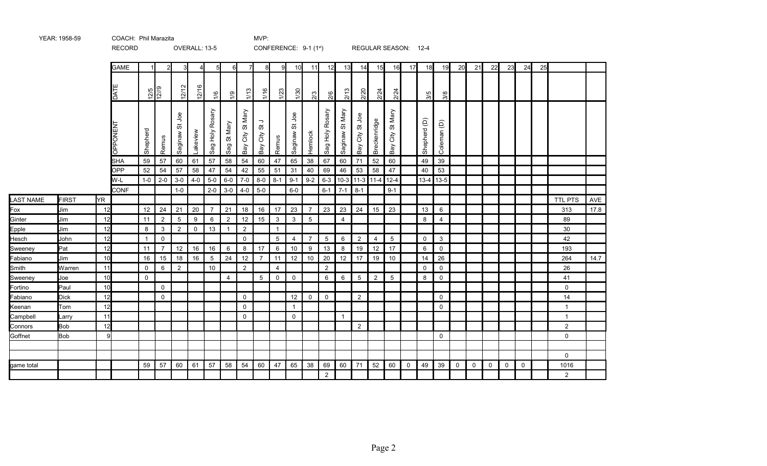|                    |              |          | <b>REVORD</b>  |              |                     |                     | OVERALL. 13-3      |                    |                 |                          |                                               |                | CONFERENCE. 9-1 (1") |                |                    |                                 |                 | REGULAR SEASUIY. 12-4      |                        |             |              |                |             |             |              |             |             |    |                |      |
|--------------------|--------------|----------|----------------|--------------|---------------------|---------------------|--------------------|--------------------|-----------------|--------------------------|-----------------------------------------------|----------------|----------------------|----------------|--------------------|---------------------------------|-----------------|----------------------------|------------------------|-------------|--------------|----------------|-------------|-------------|--------------|-------------|-------------|----|----------------|------|
|                    |              |          | <b>GAME</b>    |              | $2 \mathsf{I}$      | $\mathbf{3}$        | $\overline{4}$     | 5                  | $6 \mid$        | 71                       | 8                                             | 9              | 10                   | 11             | 12                 | 13                              | 14              | 15                         | 16                     | 17          | 18           | 19             | 20          | 21          | 22           | 23          | 24          | 25 |                |      |
|                    |              |          | DATE           |              | $\frac{12/5}{12/9}$ | 12/12               | ဖ<br>$\frac{5}{2}$ | $\frac{1}{2}$      | $\overline{61}$ | 1/13                     | $\frac{1}{10}$                                | $\frac{1}{2}$  | $\frac{50}{2}$       | $\mathbb{S}$   | 2/6                | 2/13                            | 2/20            | 2/24                       | 2/24                   |             | 3/5          | 3/8            |             |             |              |             |             |    |                |      |
|                    |              |          | <b>OPPONEN</b> | Shepherd     | Remus               | gol<br>5<br>Saginaw | Lakeview           | Rosary<br>Sag Holy | St Mary<br>Sag  | Mary<br>õ<br>City<br>Bay | $\overline{\phantom{a}}$<br>შ,<br>City<br>Bay | Remus          | gol<br>ぁ<br>Saginaw  | Hemlock        | Rosary<br>Sag Holy | St Mary<br>Saginaw <sup>9</sup> | Bay City St Joe | Breckenridge               | St Mary<br>City<br>Bay |             | Shepherd (D) | Coleman (D)    |             |             |              |             |             |    |                |      |
|                    |              |          | SHA            | 59           | 57                  | 60                  | 61                 | 57                 | 58              | 54                       | 60                                            | 47             | 65                   | 38             | 67                 | 60                              | 71              | 52                         | 60                     |             | 49           | 39             |             |             |              |             |             |    |                |      |
|                    |              |          | OPP            | 52           | 54                  | 57                  | 58                 | 47                 | 54              | 42                       | 55                                            | 51             | 31                   | 40             | 69                 | 46                              | 53              | 58                         | 47                     |             | 40           | 53             |             |             |              |             |             |    |                |      |
|                    |              |          | W-L            | $1-0$        | $\overline{2}$ -0   | $3-0$               | $4 - 0$            | $5-0$              | $6-0$           | $7-0$                    | $8-0$                                         | $8 - 1$        | $9 - 1$              | $9-2$          |                    |                                 |                 | $6-3$   10-3   11-3   11-4 | $12 - 4$               |             |              | $13-4$ 13-5    |             |             |              |             |             |    |                |      |
|                    |              |          | CONF           |              |                     | $1-0$               |                    | $2 - 0$            | $3-0$           | $4-0$                    | $5-0$                                         |                | $6-0$                |                | $6-1$              | $7-1$                           | $8 - 1$         |                            | $9 - 1$                |             |              |                |             |             |              |             |             |    |                |      |
| <b>LAST NAME</b>   | <b>FIRST</b> | YR.      |                |              |                     |                     |                    |                    |                 |                          |                                               |                |                      |                |                    |                                 |                 |                            |                        |             |              |                |             |             |              |             |             |    | <b>TTL PTS</b> | AVE  |
| Fox                | Jim          | 12       |                | 12           | 24                  | 21                  | 20                 | $\overline{7}$     | 21              | 18                       | 16                                            | 17             | 23                   | $\overline{7}$ | 23                 | 23                              | 24              | 15                         | 23                     |             | 13           | 6              |             |             |              |             |             |    | 313            | 17.8 |
| Ginter             | Jim          | 12       |                | 11           | $\overline{2}$      | $5\,$               | 9                  | 6                  | $\overline{2}$  | 12                       | 15                                            | $\mathbf{3}$   | $\mathbf{3}$         | $\overline{5}$ |                    | $\overline{4}$                  |                 |                            |                        |             | 8            | $\overline{4}$ |             |             |              |             |             |    | 89             |      |
| Epple              | Jim          | 12       |                | 8            | 3                   | $\overline{2}$      | $\mathbf 0$        | 13                 | $\mathbf{1}$    | $\overline{2}$           |                                               | $\overline{1}$ |                      |                |                    |                                 |                 |                            |                        |             |              |                |             |             |              |             |             |    | 30             |      |
| Hesch              | John         | 12       |                | $\mathbf{1}$ | $\mathsf{O}\xspace$ |                     |                    |                    |                 | $\mathbf 0$              |                                               | 5              | 4                    | $\overline{7}$ | $5\phantom{.0}$    | 6                               | $\overline{2}$  | 4                          | $5\phantom{.0}$        |             | $\mathsf 0$  | $\mathbf{3}$   |             |             |              |             |             |    | 42             |      |
| Sweeney            | Pat          | 12       |                | 11           | $\overline{7}$      | 12                  | 16                 | 16                 | 6               | 8                        | 17                                            | 6              | 10                   | 9              | 13                 | 8                               | 19              | 12                         | 17                     |             | 6            | $\mathbf 0$    |             |             |              |             |             |    | 193            |      |
| Fabiano            | Jim          | 10       |                | 16           | 15                  | 18                  | 16                 | 5                  | 24              | 12                       | $\overline{7}$                                | 11             | 12                   | 10             | 20                 | 12                              | 17              | 19                         | 10                     |             | 14           | 26             |             |             |              |             |             |    | 264            | 14.7 |
| Smith              | Warren       | 11<br>10 |                | $\mathbf 0$  | 6                   | $\overline{2}$      |                    | 10                 |                 | 2                        |                                               | $\overline{4}$ |                      |                | $\overline{2}$     |                                 |                 |                            |                        |             | $\mathbf 0$  | $\mathbf 0$    |             |             |              |             |             |    | 26             |      |
| Sweeney            | Joe<br>Paul  | 10       |                | $\mathbf 0$  | $\mathsf{O}$        |                     |                    |                    | $\overline{4}$  |                          | $5\overline{)}$                               | $\mathbf 0$    | $\mathbf 0$          |                | 6                  | $6\phantom{.}6$                 | $5\phantom{.0}$ | $\overline{2}$             | $5\phantom{.0}$        |             | 8            | $\mathsf{O}$   |             |             |              |             |             |    | 41<br>0        |      |
| Fortino<br>Fabiano | <b>Dick</b>  | 12       |                |              | $\mathbf 0$         |                     |                    |                    |                 | $\mathbf 0$              |                                               |                | 12                   | $\mathbf 0$    | $\mathbf 0$        |                                 | $\overline{2}$  |                            |                        |             |              | $\mathbf 0$    |             |             |              |             |             |    | 14             |      |
|                    | Tom          | 12       |                |              |                     |                     |                    |                    |                 | $\Omega$                 |                                               |                | $\mathbf{1}$         |                |                    |                                 |                 |                            |                        |             |              | $\mathbf 0$    |             |             |              |             |             |    | $\mathbf{1}$   |      |
| Keenan<br>Campbell | Larry        | 11       |                |              |                     |                     |                    |                    |                 | $\mathbf 0$              |                                               |                | $\mathbf 0$          |                |                    | $\mathbf{1}$                    |                 |                            |                        |             |              |                |             |             |              |             |             |    | $\overline{1}$ |      |
| Connors            | <b>Bob</b>   | 12       |                |              |                     |                     |                    |                    |                 |                          |                                               |                |                      |                |                    |                                 | $\overline{2}$  |                            |                        |             |              |                |             |             |              |             |             |    | $\overline{a}$ |      |
| Goffnet            | Bob          | 9        |                |              |                     |                     |                    |                    |                 |                          |                                               |                |                      |                |                    |                                 |                 |                            |                        |             |              | $\mathsf{O}$   |             |             |              |             |             |    | 0              |      |
|                    |              |          |                |              |                     |                     |                    |                    |                 |                          |                                               |                |                      |                |                    |                                 |                 |                            |                        |             |              |                |             |             |              |             |             |    |                |      |
|                    |              |          |                |              |                     |                     |                    |                    |                 |                          |                                               |                |                      |                |                    |                                 |                 |                            |                        |             |              |                |             |             |              |             |             |    | 0              |      |
| game total         |              |          |                | 59           | 57                  | 60                  | 61                 | 57                 | 58              | 54                       | 60                                            | 47             | 65                   | 38             | 69                 | 60                              | 71              | 52                         | 60                     | $\mathbf 0$ | 49           | 39             | $\mathbf 0$ | $\mathbf 0$ | $\mathsf{O}$ | $\mathbf 0$ | $\mathbf 0$ |    | 1016           |      |
|                    |              |          |                |              |                     |                     |                    |                    |                 |                          |                                               |                |                      |                | $\overline{2}$     |                                 |                 |                            |                        |             |              |                |             |             |              |             |             |    | $\overline{2}$ |      |

 $COMFERENCE: 9-1 (1st)$ 

RECORD OVERALL: 13-5 CONFERENCE: 0-1 (1st) REGULAR SEASON: 12-4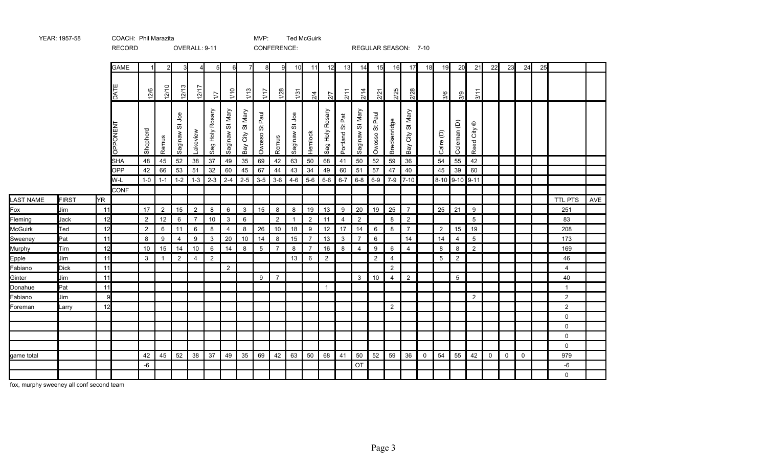|                  |              |      | <b>RECORD</b>            |                |                |                                           | OVERALL: 9-11  |                 |                 |                  | CONFERENCE:                        |                |                     |                |                           |                                          |                      |                     |                | REGULAR SEASON: 7-10 |             |                |                 |                               |             |             |             |    |                |     |
|------------------|--------------|------|--------------------------|----------------|----------------|-------------------------------------------|----------------|-----------------|-----------------|------------------|------------------------------------|----------------|---------------------|----------------|---------------------------|------------------------------------------|----------------------|---------------------|----------------|----------------------|-------------|----------------|-----------------|-------------------------------|-------------|-------------|-------------|----|----------------|-----|
|                  |              |      | <b>GAME</b>              |                |                |                                           |                | 5 <sup>1</sup>  | 6               | $\overline{7}$   | 8                                  | -91            | 10                  | 11             | 12                        | 13                                       | 14                   | 15                  | 16             | 17                   | 18          | 19             | 20              | 21                            | 22          | 23          | 24          | 25 |                |     |
|                  |              |      | DATE                     | 12/6           | 12/10          | 12/13                                     | 12/1           | $\overline{11}$ | 1/10            | 1/13             | $\frac{1}{11}$                     | 1/28           | 1/31                | $\frac{2}{4}$  | 2/7                       | 2/11                                     | 2/14                 | 2/21                | 2/25           | 2/28                 |             | 3/6            | 3/9             | 3/11                          |             |             |             |    |                |     |
|                  |              |      | <b>CPPONENT</b>          | Shepherd       | Remus          | <b>Joe</b><br>$\breve{\sigma}$<br>Saginaw | Lakeview       | Sag Holy Rosary | Saginaw St Mary | Bay City St Mary | Paul<br>$\breve{\sigma}$<br>Owosso | Remus          | gol<br>5<br>Saginaw | Hemlock        | Rosary<br><b>У</b><br>Sag | $\overline{\texttt{P}}$<br>あ<br>Portland | Mary<br>ö<br>Saginaw | Paul<br>ö<br>Owosso | Breckenridge   | City St Mary<br>keg  |             | Calre (D)      | Coleman (D)     | $^\copyright$<br>City<br>Reed |             |             |             |    |                |     |
|                  |              |      | <b>SHA</b><br><b>OPP</b> | 48             | 45             | 52<br>53                                  | $38\,$<br>51   | 37<br>32        | 49<br>60        | 35<br>45         | 69<br>67                           | 42<br>44       | 63                  | 50<br>34       | 68                        | 41                                       | 50<br>51             | 52                  | 59             | 36                   |             | 54             | 55<br>39        | 42<br>60                      |             |             |             |    |                |     |
|                  |              |      | W-L                      | 42<br>$1-0$    | 66<br>$1 - 1$  | $1-2$                                     | $1 - 3$        | $2-3$           | $2 - 4$         | $2 - 5$          | $3-5$                              | $3-6$          | 43<br>$4 - 6$       | $5-6$          | 49<br>$6-6$               | 60<br>$6 - 7$                            | $6-8$                | 57<br>$6-9$         | 47             | 40<br>$7-9$ 7-10     |             | 45             | 8-10 9-10 9-11  |                               |             |             |             |    |                |     |
|                  |              |      | <b>CONF</b>              |                |                |                                           |                |                 |                 |                  |                                    |                |                     |                |                           |                                          |                      |                     |                |                      |             |                |                 |                               |             |             |             |    |                |     |
| <b>LAST NAME</b> | <b>FIRST</b> | lYR. |                          |                |                |                                           |                |                 |                 |                  |                                    |                |                     |                |                           |                                          |                      |                     |                |                      |             |                |                 |                               |             |             |             |    | <b>TTL PTS</b> | AVE |
| Fox              | Jim          | 11   |                          | 17             | $\overline{2}$ | 15                                        | 2              | 8               | 6               | $\mathbf{3}$     | 15                                 | 8              | 8                   | 19             | 13                        | 9                                        | 20                   | 19                  | 25             | $\overline{7}$       |             | 25             | 21              | 9                             |             |             |             |    | 251            |     |
| Fleming          | Jack         | 12   |                          | $\overline{2}$ | 12             | 6                                         | $\overline{7}$ | 10              | 3               | 6                |                                    | $\overline{2}$ |                     | $\overline{2}$ | 11                        | $\overline{4}$                           | $\overline{2}$       |                     | 8              | $\overline{2}$       |             |                |                 | $5\phantom{.0}$               |             |             |             |    | 83             |     |
| <b>McGuirk</b>   | Ted          | 12   |                          | $\overline{2}$ | 6              | 11                                        | 6              | 8               | 4               | 8                | 26                                 | 10             | 18                  | 9              | 12                        | 17                                       | 14                   | 6                   | 8              | $\overline{7}$       |             | $\overline{2}$ | 15              | 19                            |             |             |             |    | 208            |     |
| Sweeney          | Pat          | 11   |                          | 8              | 9              | $\overline{4}$                            | 9              | 3               | 20              | 10               | 14                                 | 8              | 15                  | $\overline{7}$ | 13                        | 3                                        | $\overline{7}$       | 6                   |                | 14                   |             | 14             | $\overline{4}$  | $5\overline{)}$               |             |             |             |    | 173            |     |
| Murphy           | Tim          | 12   |                          | 10             | 15             | 14                                        | 10             | 6               | 14              | 8                | 5                                  | $\overline{7}$ | 8                   | $\overline{7}$ | 16                        | 8                                        | 4                    | 9                   | 6              | $\overline{4}$       |             | 8              | 8               | $\overline{2}$                |             |             |             |    | 169            |     |
| Epple            | Jim          | 11   |                          | 3              |                | $\overline{2}$                            | $\overline{4}$ | $\overline{2}$  |                 |                  |                                    |                | 13                  | 6              | $\overline{2}$            |                                          |                      | $\overline{2}$      | 4              |                      |             | 5              | $\overline{2}$  |                               |             |             |             |    | 46             |     |
| Fabiano          | <b>Dick</b>  | 11   |                          |                |                |                                           |                |                 | 2               |                  |                                    |                |                     |                |                           |                                          |                      |                     | 2              |                      |             |                |                 |                               |             |             |             |    | $\overline{4}$ |     |
| Ginter           | Jim          | 11   |                          |                |                |                                           |                |                 |                 |                  | 9                                  | $\overline{7}$ |                     |                |                           |                                          | 3                    | 10                  | 4              | $\overline{2}$       |             |                | $5\phantom{.0}$ |                               |             |             |             |    | 40             |     |
| Donahue          | Pat          | 11   |                          |                |                |                                           |                |                 |                 |                  |                                    |                |                     |                |                           |                                          |                      |                     |                |                      |             |                |                 |                               |             |             |             |    | -1             |     |
| Fabiano          | Jim          | 9    |                          |                |                |                                           |                |                 |                 |                  |                                    |                |                     |                |                           |                                          |                      |                     |                |                      |             |                |                 | $\overline{2}$                |             |             |             |    | $\overline{2}$ |     |
| Foreman          | Larry        | 12   |                          |                |                |                                           |                |                 |                 |                  |                                    |                |                     |                |                           |                                          |                      |                     | $\overline{2}$ |                      |             |                |                 |                               |             |             |             |    | $\overline{2}$ |     |
|                  |              |      |                          |                |                |                                           |                |                 |                 |                  |                                    |                |                     |                |                           |                                          |                      |                     |                |                      |             |                |                 |                               |             |             |             |    | $\mathbf 0$    |     |
|                  |              |      |                          |                |                |                                           |                |                 |                 |                  |                                    |                |                     |                |                           |                                          |                      |                     |                |                      |             |                |                 |                               |             |             |             |    | $\mathbf 0$    |     |
|                  |              |      |                          |                |                |                                           |                |                 |                 |                  |                                    |                |                     |                |                           |                                          |                      |                     |                |                      |             |                |                 |                               |             |             |             |    | 0              |     |
|                  |              |      |                          |                |                |                                           |                |                 |                 |                  |                                    |                |                     |                |                           |                                          |                      |                     |                |                      |             |                |                 |                               |             |             |             |    | $\mathbf 0$    |     |
| game total       |              |      |                          | 42             | 45             | 52                                        | 38             | 37              | 49              | 35               | 69                                 | 42             | 63                  | 50             | 68                        | 41                                       | 50                   | 52                  | 59             | 36                   | $\mathbf 0$ | 54             | 55              | 42                            | $\mathbf 0$ | $\mathbf 0$ | $\mathbf 0$ |    | 979            |     |
|                  |              |      |                          | -6             |                |                                           |                |                 |                 |                  |                                    |                |                     |                |                           |                                          | OT                   |                     |                |                      |             |                |                 |                               |             |             |             |    | -6             |     |
|                  |              |      |                          |                |                |                                           |                |                 |                 |                  |                                    |                |                     |                |                           |                                          |                      |                     |                |                      |             |                |                 |                               |             |             |             |    | $\mathbf 0$    |     |

MVP: Ted McGuirk

fox, murphy sweeney all conf second team

YEAR: 1957-58 COACH: Phil Marazita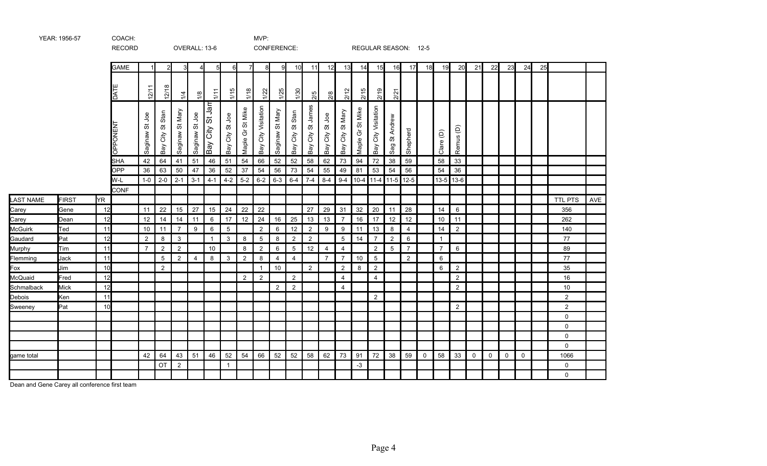|                  |              |     | <b>RECORD</b> |                |                     |                 | OVERALL: 13-6  |                                                      |                    |                  |                        | CONFERENCE:     |                        |                           |                         |                                             |                                             |                        |                                   | REGULAR SEASON: 12-5 |             |                |                |             |          |          |             |    |                |            |
|------------------|--------------|-----|---------------|----------------|---------------------|-----------------|----------------|------------------------------------------------------|--------------------|------------------|------------------------|-----------------|------------------------|---------------------------|-------------------------|---------------------------------------------|---------------------------------------------|------------------------|-----------------------------------|----------------------|-------------|----------------|----------------|-------------|----------|----------|-------------|----|----------------|------------|
|                  |              |     | <b>GAME</b>   |                | 21                  |                 | 4              | 5 <sub>l</sub>                                       | 6                  | $\overline{7}$   | 8                      | 9               | 10                     | 11                        | 12                      | 13                                          | 14                                          | 15                     | 16                                | 17                   | 18          | 19             | 20             | 21          | 22       | 23       | 24          | 25 |                |            |
|                  |              |     | DATI          | 12/11          | $\infty$<br>12/1    | 1/4             | $\frac{8}{2}$  | 1/11                                                 | 1/15               | 1/18             | 1/22                   | 1/25            | 1/30                   | 2/5                       | 2/8                     | 2/12                                        | 2/15                                        | 2/19                   | 2/21                              |                      |             |                |                |             |          |          |             |    |                |            |
|                  |              |     | PONENT<br>∩   | Saginaw St Joe | City St Stan<br>Bay | Saginaw St Mary | Saginaw St Joe | Jam<br>$ \vec{v} $<br> ਨੂੰ<br> ਹ<br>$\overline{Bay}$ | City St Joe<br>Bay | Maple Gr St Mike | City Visitation<br>Bay | Saginaw St Mary | St Stan<br>City<br>Bay | James<br>ö<br>City<br>Bay | Joe<br>の<br>City<br>Bay | Mary<br>$\breve{\mathrm{o}}$<br>City<br>Bay | Mike<br>55<br>$\rm \tilde{\sigma}$<br>Maple | City Visitation<br>Bay | Andrew<br>55<br>Sag               | Shepherd             |             | Clare (D)      | Remus (D)      |             |          |          |             |    |                |            |
|                  |              |     | <b>SHA</b>    | 42             | 64                  | 41              | 51             | 46                                                   | 51                 | 54               | 66                     | 52              | 52                     | 58                        | 62                      | 73                                          | 94                                          | 72                     | 38                                | 59                   |             | 58             | 33             |             |          |          |             |    |                |            |
|                  |              |     | OPP           | 36             | 63                  | 50              | 47             | 36                                                   | 52                 | 37               | 54                     | 56              | 73                     | 54                        | 55                      | 49                                          | 81                                          | 53                     | 54                                | 56                   |             | 54             | 36             |             |          |          |             |    |                |            |
|                  |              |     | W-L           | $1-0$          | $2 - 0$             | $2 - 1$         | $3 - 1$        | $4 - 1$                                              |                    | $4-2$ 5-2        | $6 - 2$                | $6 - 3$         | $6 - 4$                | $7-4$                     | $8 - 4$                 |                                             |                                             |                        | $9-4$   10-4   11-4   11-5   12-5 |                      |             |                | $13-5$ 13-6    |             |          |          |             |    |                |            |
|                  |              | YR. | <b>CONF</b>   |                |                     |                 |                |                                                      |                    |                  |                        |                 |                        |                           |                         |                                             |                                             |                        |                                   |                      |             |                |                |             |          |          |             |    |                |            |
| LAST NAME        | <b>FIRST</b> | 12  |               |                | 22                  | 15              | 27             |                                                      | 24                 | 22               | 22                     |                 |                        | 27                        |                         | 31                                          | 32                                          | 20                     |                                   | 28                   |             | 14             | 6              |             |          |          |             |    | TTL PTS<br>356 | <b>AVE</b> |
| Carey            | Gene<br>Dean | 12  |               | 11<br>12       | 14                  | 14              | 11             | 15<br>6                                              | 17                 | 12               | 24                     | 16              | 25                     | 13                        | 29<br>13                | $\overline{7}$                              | 16                                          | 17                     | 11<br>12                          | 12                   |             | 10             | 11             |             |          |          |             |    | 262            |            |
| Carey<br>McGuirk | Ted          | 11  |               | 10             | 11                  | $\overline{7}$  | 9              | 6                                                    | $\overline{5}$     |                  | $\overline{2}$         | 6               | 12                     | $\overline{2}$            | 9                       | 9                                           | 11                                          | 13                     | 8                                 | $\overline{4}$       |             | 14             | $\overline{2}$ |             |          |          |             |    | 140            |            |
| Gaudard          | Pat          | 12  |               | $\overline{2}$ | 8                   | $\mathbf{3}$    |                | $\mathbf{1}$                                         | 3                  | 8                | $\overline{5}$         | 8               | $\overline{2}$         | $\overline{2}$            |                         | 5                                           | 14                                          | $\overline{7}$         | $\overline{2}$                    | 6                    |             | $\mathbf{1}$   |                |             |          |          |             |    | 77             |            |
| Murphy           | Tim          | 11  |               | $\overline{7}$ | $\overline{2}$      | 2               |                | 10                                                   |                    | 8                | $\overline{2}$         | 6               | 5                      | 12                        | $\overline{4}$          | $\overline{4}$                              |                                             | $\overline{2}$         | $5\overline{)}$                   | $\overline{7}$       |             | $\overline{7}$ | 6              |             |          |          |             |    | 89             |            |
| Flemming         | Jack         | 11  |               |                | 5                   | 2               | $\overline{4}$ | 8                                                    | 3                  | 2                | 8                      | $\overline{4}$  | $\overline{4}$         |                           | $\overline{7}$          | $\overline{7}$                              | 10                                          | $5^{\circ}$            |                                   | $\overline{2}$       |             | 6              |                |             |          |          |             |    | 77             |            |
| Fox              | Jim          | 10  |               |                | $\overline{2}$      |                 |                |                                                      |                    |                  | $\mathbf{1}$           | 10              |                        | $\overline{2}$            |                         | $\overline{2}$                              | 8                                           | $\overline{2}$         |                                   |                      |             | 6              | $\mathbf{2}$   |             |          |          |             |    | 35             |            |
| McQuaid          | Fred         | 12  |               |                |                     |                 |                |                                                      |                    | 2                | $\overline{2}$         |                 | 2                      |                           |                         | $\overline{4}$                              |                                             | $\overline{4}$         |                                   |                      |             |                | $\overline{2}$ |             |          |          |             |    | 16             |            |
| Schmalback       | <b>Mick</b>  | 12  |               |                |                     |                 |                |                                                      |                    |                  |                        | $\overline{2}$  | $\overline{2}$         |                           |                         | 4                                           |                                             |                        |                                   |                      |             |                | $\overline{2}$ |             |          |          |             |    | 10             |            |
| Debois           | Ken          | 11  |               |                |                     |                 |                |                                                      |                    |                  |                        |                 |                        |                           |                         |                                             |                                             | 2                      |                                   |                      |             |                |                |             |          |          |             |    | $\overline{2}$ |            |
| Sweeney          | Pat          | 10  |               |                |                     |                 |                |                                                      |                    |                  |                        |                 |                        |                           |                         |                                             |                                             |                        |                                   |                      |             |                | $\overline{2}$ |             |          |          |             |    | $\overline{2}$ |            |
|                  |              |     |               |                |                     |                 |                |                                                      |                    |                  |                        |                 |                        |                           |                         |                                             |                                             |                        |                                   |                      |             |                |                |             |          |          |             |    | $\mathsf{O}$   |            |
|                  |              |     |               |                |                     |                 |                |                                                      |                    |                  |                        |                 |                        |                           |                         |                                             |                                             |                        |                                   |                      |             |                |                |             |          |          |             |    | $\Omega$       |            |
|                  |              |     |               |                |                     |                 |                |                                                      |                    |                  |                        |                 |                        |                           |                         |                                             |                                             |                        |                                   |                      |             |                |                |             |          |          |             |    | 0              |            |
|                  |              |     |               |                |                     |                 |                |                                                      |                    |                  |                        |                 |                        |                           |                         |                                             |                                             |                        |                                   |                      |             |                |                |             |          |          |             |    | $\Omega$       |            |
| game total       |              |     |               | 42             | 64                  | 43              | 51             | 46                                                   | 52                 | 54               | 66                     | 52              | 52                     | 58                        | 62                      | 73                                          | 91                                          | 72                     | 38                                | 59                   | $\mathbf 0$ | 58             | 33             | $\mathbf 0$ | $\Omega$ | $\Omega$ | $\mathbf 0$ |    | 1066           |            |
|                  |              |     |               |                | <b>OT</b>           | 2               |                |                                                      | $\overline{1}$     |                  |                        |                 |                        |                           |                         |                                             | $-3$                                        |                        |                                   |                      |             |                |                |             |          |          |             |    | $\mathbf 0$    |            |
|                  |              |     |               |                |                     |                 |                |                                                      |                    |                  |                        |                 |                        |                           |                         |                                             |                                             |                        |                                   |                      |             |                |                |             |          |          |             |    | 0              |            |

Dean and Gene Carey all conference first team

YEAR: 1956-57 COACH: MVP: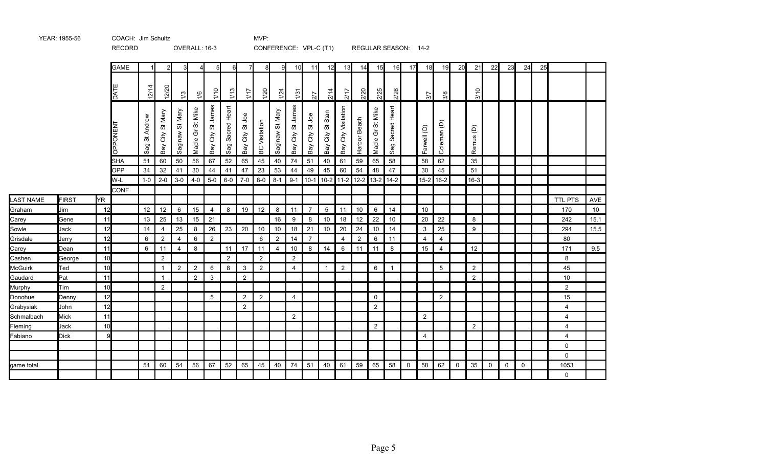|            |              |              | <b>RECORD</b>     |                         |                     |                 | OVERALL: 16-3    |                      |                     |                         |                  |                                                      |                           | CONFERENCE: VPL-C (T1)  |                                         |                        |                | REGULAR SEASON: 14-2 |                     |              |                |                |             |                |             |             |             |    |                |      |
|------------|--------------|--------------|-------------------|-------------------------|---------------------|-----------------|------------------|----------------------|---------------------|-------------------------|------------------|------------------------------------------------------|---------------------------|-------------------------|-----------------------------------------|------------------------|----------------|----------------------|---------------------|--------------|----------------|----------------|-------------|----------------|-------------|-------------|-------------|----|----------------|------|
|            |              |              | <b>GAME</b>       | $\mathbf{1}$            | $2\mathsf{I}$       | 3               | 4                | $5\overline{5}$      | $6 \blacksquare$    |                         | 8                | 9                                                    | 10                        | 11                      | 12                                      | 13                     | 14             | 15                   | 16                  | 17           | 18             | 19             | 20          | 21             | 22          | 23          | 24          | 25 |                |      |
|            |              |              | DATI              | 12/14                   | 12/20               | 1/3             | 1/6              | 1/10                 | 1/13                | 1/17                    | 1/20             | 1/24                                                 | $\frac{5}{2}$             | $\overline{27}$         | 2/14                                    | 2/17                   | 2/20           | 2/25                 | 2/28                |              | 5/7            | 3/8            |             | 3/10           |             |             |             |    |                |      |
|            |              |              | OPPONEN           | St Andrew<br><b>Sag</b> | City St Mary<br>Bay | Saginaw St Mary | Maple Gr St Mike | City St James<br>Bay | Sacred Heart<br>Sag | goL<br>ö<br>City<br>Bay | Visitation<br>BC | Mary<br>$\overleftrightarrow{\mathrm{o}}$<br>Saginaw | James<br>ö<br>City<br>Bay | goL<br>ö<br>City<br>Bay | Stan<br>$\breve{\sigma}$<br>City<br>Bay | City Visitation<br>Bay | Harbor Beach   | Maple Gr St Mike     | Sacred Heart<br>Sag |              | Farwell (D)    | Coleman (D)    |             | Remus (D)      |             |             |             |    |                |      |
|            |              |              | <b>SHA</b>        | 51                      | 60                  | 50              | 56               | 67                   | 52                  | 65                      | 45               | 40                                                   | 74                        | 51                      | 40                                      | 61                     | 59             | 65                   | 58                  |              | 58             | 62             |             | 35             |             |             |             |    |                |      |
|            |              |              | <b>OPP</b><br>W-L | 34<br>$1-0$             | 32<br>$2 - 0$       | 41<br>$3-0$     | 30<br>$4-0$      | 44<br>$5-0$          | 41<br>$6-0$         | 47<br>$7-0$             | 23<br>$8-0$      | 53<br>$8 - 1$                                        | 44<br>$9 - 1$             | 49                      | 45<br>10-1 10-2 11-2                    | 60                     | 54<br>$12 - 2$ | 48<br>$13-2$         | 47<br>$14-2$        |              | 30<br>$15-2$   | 45<br>$16-2$   |             | 51<br>$16-3$   |             |             |             |    |                |      |
|            |              |              | <b>CONF</b>       |                         |                     |                 |                  |                      |                     |                         |                  |                                                      |                           |                         |                                         |                        |                |                      |                     |              |                |                |             |                |             |             |             |    |                |      |
| LAST NAME  | <b>FIRST</b> | YR.          |                   |                         |                     |                 |                  |                      |                     |                         |                  |                                                      |                           |                         |                                         |                        |                |                      |                     |              |                |                |             |                |             |             |             |    | <b>TTL PTS</b> | AVE  |
| Graham     | Jim          | 12           |                   | 12                      | 12                  | 6               | 15               | $\overline{4}$       | 8                   | 19                      | 12               | 8                                                    | 11                        | $\overline{7}$          | 5                                       | 11                     | 10             | 6                    | 14                  |              | 10             |                |             |                |             |             |             |    | 170            | 10   |
| Carey      | Gene         | 11           |                   | 13                      | 25                  | 13              | 15               | 21                   |                     |                         |                  | 16                                                   | 9                         | 8                       | 10                                      | 18                     | 12             | 22                   | 10                  |              | 20             | 22             |             | 8              |             |             |             |    | 242            | 15.1 |
| Sowle      | Jack         | 12           |                   | 14                      | $\overline{4}$      | 25              | 8                | 26                   | 23                  | 20                      | 10               | 10                                                   | 18                        | 21                      | 10                                      | 20                     | 24             | 10                   | 14                  |              | $\mathbf{3}$   | 25             |             | 9              |             |             |             |    | 294            | 15.5 |
| Grisdale   | Jerry        | 12           |                   | 6                       | $\overline{2}$      | $\overline{4}$  | 6                | 2                    |                     |                         | 6                | 2                                                    | 14                        | $\overline{7}$          |                                         | $\overline{4}$         | $\overline{2}$ | 6                    | 11                  |              | $\overline{4}$ | $\overline{4}$ |             |                |             |             |             |    | 80             |      |
| Carey      | Dean         | 11           |                   | 6                       | 11                  | $\overline{4}$  | 8                |                      | 11                  | 17                      | 11               | $\overline{4}$                                       | 10                        | 8                       | 14                                      | 6                      | 11             | 11                   | 8                   |              | 15             | 4              |             | 12             |             |             |             |    | 171            | 9.5  |
| Cashen     | George       | 10           |                   |                         | $\overline{c}$      |                 |                  |                      | $\overline{2}$      |                         | $\overline{c}$   |                                                      | $\overline{2}$            |                         |                                         |                        |                |                      |                     |              |                |                |             |                |             |             |             |    | 8              |      |
| McGuirk    | Ted          | 10           |                   |                         | $\mathbf{1}$        | $\overline{2}$  | $\overline{2}$   | 6                    | 8                   | 3                       | 2                |                                                      | $\overline{4}$            |                         | $\overline{1}$                          | $\overline{2}$         |                | 6                    |                     |              |                | 5              |             | $\overline{2}$ |             |             |             |    | 45             |      |
| Gaudard    | Pat          | 11           |                   |                         | $\mathbf{1}$        |                 | $\overline{2}$   | $\mathbf{3}$         |                     | $\overline{2}$          |                  |                                                      |                           |                         |                                         |                        |                |                      |                     |              |                |                |             | $\overline{2}$ |             |             |             |    | 10             |      |
| Murphy     | Tim          | 10           |                   |                         | $\overline{2}$      |                 |                  |                      |                     |                         |                  |                                                      |                           |                         |                                         |                        |                |                      |                     |              |                |                |             |                |             |             |             |    | $\overline{a}$ |      |
| Donohue    | Denny        | 12           |                   |                         |                     |                 |                  | 5                    |                     | 2                       | $\overline{2}$   |                                                      | $\overline{4}$            |                         |                                         |                        |                | $\mathbf 0$          |                     |              |                | 2              |             |                |             |             |             |    | 15             |      |
| Grabysiak  | John         | 12           |                   |                         |                     |                 |                  |                      |                     | 2                       |                  |                                                      |                           |                         |                                         |                        |                | 2                    |                     |              |                |                |             |                |             |             |             |    | $\overline{4}$ |      |
| Schmalbach | Mick         | 11           |                   |                         |                     |                 |                  |                      |                     |                         |                  |                                                      | $\overline{2}$            |                         |                                         |                        |                |                      |                     |              | $\overline{2}$ |                |             |                |             |             |             |    | 4              |      |
| Fleming    | Jack         | 10           |                   |                         |                     |                 |                  |                      |                     |                         |                  |                                                      |                           |                         |                                         |                        |                | $\boldsymbol{2}$     |                     |              |                |                |             | $\overline{2}$ |             |             |             |    | 4              |      |
| Fabiano    | <b>Dick</b>  | $\mathbf{Q}$ |                   |                         |                     |                 |                  |                      |                     |                         |                  |                                                      |                           |                         |                                         |                        |                |                      |                     |              | $\overline{4}$ |                |             |                |             |             |             |    | $\overline{4}$ |      |
|            |              |              |                   |                         |                     |                 |                  |                      |                     |                         |                  |                                                      |                           |                         |                                         |                        |                |                      |                     |              |                |                |             |                |             |             |             |    | 0              |      |
|            |              |              |                   |                         |                     |                 |                  |                      |                     |                         |                  |                                                      |                           |                         |                                         |                        |                |                      |                     |              |                |                |             |                |             |             |             |    | 0              |      |
| game total |              |              |                   | 51                      | 60                  | 54              | 56               | 67                   | 52                  | 65                      | 45               | 40                                                   | 74                        | 51                      | 40                                      | 61                     | 59             | 65                   | 58                  | $\mathsf{O}$ | 58             | 62             | $\mathbf 0$ | 35             | $\mathbf 0$ | $\mathbf 0$ | $\mathbf 0$ |    | 1053           |      |
|            |              |              |                   |                         |                     |                 |                  |                      |                     |                         |                  |                                                      |                           |                         |                                         |                        |                |                      |                     |              |                |                |             |                |             |             |             |    | 0              |      |

YEAR: 1955-56 COACH: Jim Schultz COACH: 1955-56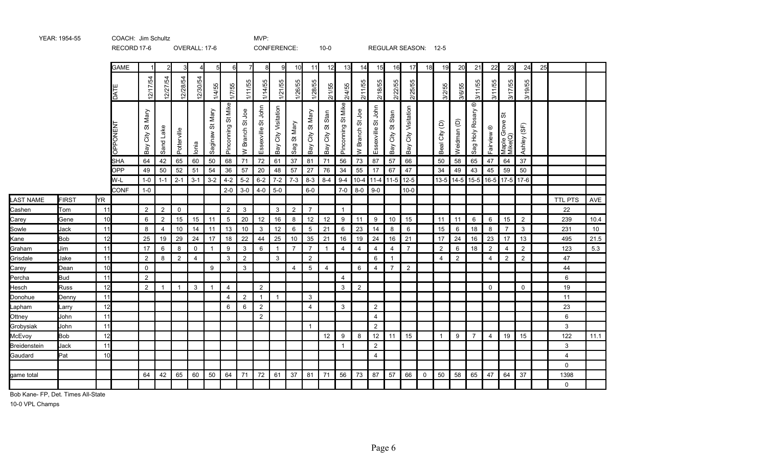|              |              |    | RECORD 17-6 |                          |                |                | OVERALL: 17-6 |                 |                    |                 |                    | CONFERENCE:         |                |                        | $10-0$                                  |                                                         |                                                                    |                       |                          | REGULAR SEASON: 12-5   |             |                |                |                                  |                       |                               |                |    |                |                 |
|--------------|--------------|----|-------------|--------------------------|----------------|----------------|---------------|-----------------|--------------------|-----------------|--------------------|---------------------|----------------|------------------------|-----------------------------------------|---------------------------------------------------------|--------------------------------------------------------------------|-----------------------|--------------------------|------------------------|-------------|----------------|----------------|----------------------------------|-----------------------|-------------------------------|----------------|----|----------------|-----------------|
|              |              |    | <b>GAME</b> |                          |                |                |               | 51              | 6                  | 7               | 8                  | 9                   | 10             | 11                     | 12                                      | 13                                                      | 14                                                                 | 15                    | 16                       | 17                     | 18          | 19             | 20             | 21                               | 22                    | 23                            | 24             | 25 |                |                 |
|              |              |    | DATI        | 12/17/54                 | 12/27/54       | 12/28/54       | 12/30/54      | 1/4/55          | 17/55              | 65<br>1/11/     | 1/14/55            | 1/21/55             | 1/26/55        | 1/28/55                | 2/1/55                                  | 2/4/55                                                  | 2/11/55                                                            | 2/18/55               | 2/22/55                  | 2/25/55                |             | 3/2/55         | 3/6/55         | 3/11/55                          | 55<br>3/11/           | /55<br>3/17/                  | 55<br>3/19/    |    |                |                 |
|              |              |    | OPPONEN     | Mary<br>ö<br>City<br>Bay | Sand Lake      | Potterville    | lonia         | Saginaw St Mary | Pinconning St Mike | W Branch St Joe | Essexville St John | Bay City Visitation | St Mary<br>Sag | St Mary<br>City<br>Bay | Stan<br>$\breve{\sigma}$<br>City<br>Bay | Mike<br>$\overleftrightarrow{\mathrm{o}}$<br>Pinconning | go<br>$\overleftrightarrow{\mathrm{o}}$<br><b>Branch</b><br>$\geq$ | St John<br>Essexville | Stan<br>ö<br>City<br>Bay | City Visitation<br>Bay |             | Beal City (D)  | Weidman (D)    | $^\copyright$<br>Sag Holy Rosary | Fairview <sup>®</sup> | ぁ<br>Maple Grove :<br>Mike(Q) | Ashley (SF)    |    |                |                 |
|              |              |    | <b>SHA</b>  | 64                       | 42             | 65             | 60            | 50              | 68                 | 71              | 72                 | 61                  | 37             | 81                     | 71                                      | 56                                                      | 73                                                                 | 87                    | 57                       | 66                     |             | 50             | 58             | 65                               | 47                    | 64                            | 37             |    |                |                 |
|              |              |    | <b>OPP</b>  | 49                       | 50             | 52             | 51            | 54              | 36                 | 57              | 20                 | 48                  | 57             | 27                     | 76                                      | 34                                                      | 55                                                                 | 17                    | 67                       | 47                     |             | 34             | 49             | 43                               | 45                    | 59                            | 50             |    |                |                 |
|              |              |    | W-L         | $1-0$                    | $1 - 1$        | $2 - 1$        | $3 - 1$       | $3-2$           | $4 - 2$            | $5-2$           | $6-2$              | $7-2$               | $7-3$          | $8 - 3$                | $8 - 4$                                 | $9 - 4$                                                 |                                                                    | 10-4 11-4 11-5 12-5   |                          |                        |             | $13 - 5$       | $14-5$         |                                  |                       | 15-5 16-5 17-5 17-6           |                |    |                |                 |
|              |              |    | <b>CONF</b> | $1-0$                    |                |                |               |                 | $2 - 0$            | $3-0$           | $4 - 0$            | $5-0$               |                | $6-0$                  |                                         | $7-0$                                                   | $8-0$                                                              | $9 - 0$               |                          | $10-0$                 |             |                |                |                                  |                       |                               |                |    |                |                 |
| LAST NAME    | <b>FIRST</b> | YR |             |                          |                |                |               |                 |                    |                 |                    |                     |                |                        |                                         |                                                         |                                                                    |                       |                          |                        |             |                |                |                                  |                       |                               |                |    | <b>TTL PTS</b> | AVE             |
| Cashen       | Tom          | 11 |             | $\overline{2}$           | $\overline{2}$ | $\mathbf 0$    |               |                 | $\overline{2}$     | $\mathbf{3}$    |                    | 3                   | $\overline{2}$ | $\overline{7}$         |                                         | $\overline{1}$                                          |                                                                    |                       |                          |                        |             |                |                |                                  |                       |                               |                |    | 22             |                 |
| Carey        | Gene         | 10 |             | 6                        | $\overline{2}$ | 15             | 15            | 11              | $\overline{5}$     | 20              | 12                 | 16                  | 8              | 12                     | 12                                      | 9                                                       | 11                                                                 | 9                     | 10                       | 15                     |             | 11             | 11             | 6                                | 6                     | 15                            | $\overline{2}$ |    | 239            | 10.4            |
| Sowle        | Jack         | 11 |             | 8                        | $\overline{4}$ | 10             | 14            | 11              | 13                 | 10              | $\mathbf{3}$       | 12                  | 6              | 5                      | 21                                      | 6                                                       | 23                                                                 | 14                    | 8                        | 6                      |             | 15             | 6              | 18                               | 8                     | $\overline{7}$                | $\mathbf{3}$   |    | 231            | 10 <sup>°</sup> |
| Kane         | <b>Bob</b>   | 12 |             | 25                       | 19             | 29             | 24            | $17\,$          | 18                 | 22              | 44                 | 25                  | 10             | 35                     | 21                                      | 16                                                      | 19                                                                 | 24                    | 16                       | 21                     |             | 17             | 24             | 16                               | 23                    | 17                            | 13             |    | 495            | 21.5            |
| Graham       | Jim          | 11 |             | 17                       | 6              | 8              | 0             | $\overline{1}$  | 9                  | 3               | 6                  | -1                  | $\overline{7}$ | $\overline{7}$         | $\mathbf{1}$                            | $\overline{4}$                                          | 4                                                                  | 4                     | 4                        | $\overline{7}$         |             | $\overline{2}$ | 6              | 18                               | $\overline{2}$        | 4                             | $\overline{2}$ |    | 123            | 5.3             |
| Grisdale     | Jake         | 11 |             | $\overline{2}$           | 8              | $\overline{2}$ | 4             |                 | 3                  | $\overline{2}$  |                    | 3                   |                | $\overline{2}$         |                                         |                                                         |                                                                    | 6                     | $\mathbf{1}$             |                        |             | $\overline{4}$ | $\overline{2}$ |                                  | $\overline{4}$        | 2                             | $\overline{2}$ |    | 47             |                 |
| Carey        | Dean         | 10 |             | $\mathbf 0$              |                |                |               | 9               |                    | 3               |                    |                     | $\overline{4}$ | 5                      | $\overline{4}$                          |                                                         | 6                                                                  | $\overline{4}$        | $\overline{7}$           | 2                      |             |                |                |                                  |                       |                               |                |    | 44             |                 |
| Percha       | <b>Bud</b>   | 11 |             | $\overline{2}$           |                |                |               |                 |                    |                 |                    |                     |                |                        |                                         | $\overline{4}$                                          |                                                                    |                       |                          |                        |             |                |                |                                  |                       |                               |                |    | 6              |                 |
| Hesch        | <b>Russ</b>  | 12 |             | $\overline{2}$           | -1             | $\mathbf{1}$   | 3             | $\overline{1}$  | $\overline{4}$     |                 | 2                  |                     |                |                        |                                         | 3                                                       | $\overline{2}$                                                     |                       |                          |                        |             |                |                |                                  | $\Omega$              |                               | $\mathbf 0$    |    | 19             |                 |
| Donohue      | Denny        | 11 |             |                          |                |                |               |                 | 4                  | $\overline{2}$  | $\overline{1}$     | $\overline{1}$      |                | 3                      |                                         |                                                         |                                                                    |                       |                          |                        |             |                |                |                                  |                       |                               |                |    | 11             |                 |
| Lapham       | Larry        | 12 |             |                          |                |                |               |                 | 6                  | 6               | $\overline{2}$     |                     |                | $\overline{4}$         |                                         | 3                                                       |                                                                    | $\overline{2}$        |                          |                        |             |                |                |                                  |                       |                               |                |    | 23             |                 |
| Ottney       | John         | 11 |             |                          |                |                |               |                 |                    |                 | $\overline{2}$     |                     |                |                        |                                         |                                                         |                                                                    | $\overline{4}$        |                          |                        |             |                |                |                                  |                       |                               |                |    | 6              |                 |
| Grobysiak    | John         | 11 |             |                          |                |                |               |                 |                    |                 |                    |                     |                | -1                     |                                         |                                                         |                                                                    | $\overline{2}$        |                          |                        |             |                |                |                                  |                       |                               |                |    | 3              |                 |
| McEvoy       | <b>Bob</b>   | 12 |             |                          |                |                |               |                 |                    |                 |                    |                     |                |                        | 12                                      | 9                                                       | 8                                                                  | 12                    | 11                       | 15                     |             | 1              | 9              | $\overline{7}$                   | $\overline{4}$        | 19                            | 15             |    | 122            | 11.1            |
| Breidenstein | Jack         | 11 |             |                          |                |                |               |                 |                    |                 |                    |                     |                |                        |                                         | $\mathbf{1}$                                            |                                                                    | $\overline{2}$        |                          |                        |             |                |                |                                  |                       |                               |                |    | 3              |                 |
| Gaudard      | Pat          | 10 |             |                          |                |                |               |                 |                    |                 |                    |                     |                |                        |                                         |                                                         |                                                                    | 4                     |                          |                        |             |                |                |                                  |                       |                               |                |    | 4              |                 |
|              |              |    |             |                          |                |                |               |                 |                    |                 |                    |                     |                |                        |                                         |                                                         |                                                                    |                       |                          |                        |             |                |                |                                  |                       |                               |                |    | 0              |                 |
| game total   |              |    |             | 64                       | 42             | 65             | 60            | 50              | 64                 | 71              | 72                 | 61                  | 37             | 81                     | 71                                      | 56                                                      | 73                                                                 | 87                    | 57                       | 66                     | $\mathbf 0$ | 50             | 58             | 65                               | 47                    | 64                            | 37             |    | 1398           |                 |
|              |              |    |             |                          |                |                |               |                 |                    |                 |                    |                     |                |                        |                                         |                                                         |                                                                    |                       |                          |                        |             |                |                |                                  |                       |                               |                |    | 0              |                 |

Bob Kane- FP, Det. Times All-State

YEAR: 1954-55 COACH: Jim Schultz COACH: 1954-55

10-0 VPL Champs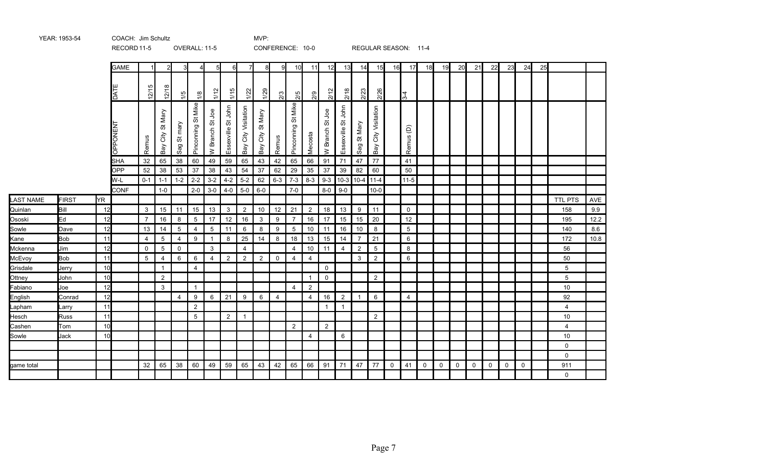|                  |              |     | RECORD 11-5        |                |                        |                 | OVERALL: 11-5      |                  |                    |                        | CONFERENCE: 10-0       |                |                       |                |                                    |                         |                                 |                        |              | REGULAR SEASON: 11-4 |              |             |    |              |             |             |             |    |                |      |
|------------------|--------------|-----|--------------------|----------------|------------------------|-----------------|--------------------|------------------|--------------------|------------------------|------------------------|----------------|-----------------------|----------------|------------------------------------|-------------------------|---------------------------------|------------------------|--------------|----------------------|--------------|-------------|----|--------------|-------------|-------------|-------------|----|----------------|------|
|                  |              |     | <b>GAME</b>        |                |                        |                 | Δ                  | $5 \blacksquare$ | 6                  | 7                      | 8                      | 9              | 10 <sup>l</sup>       | 11             | 12                                 | 13                      | 14                              | 15                     | 16           | 17                   | 18           | 19          | 20 | 21           | <b>22</b>   | 23          | 24          | 25 |                |      |
|                  |              |     | DAT                | 12/15          | 12/1                   | 1/5             | $\frac{8}{10}$     | 1/12             | 1/15               | 1/22                   | 1/29                   | $\frac{3}{2}$  | 2/5                   | 2/9            | 2/12                               | 2/18                    | 2/23                            | 2/26                   |              | $\frac{3}{4}$        |              |             |    |              |             |             |             |    |                |      |
|                  |              |     | <b>LNEMO</b><br>గె | Remus          | St Mary<br>City<br>Bay | St mary<br>Sag  | Pinconning St Mike | W Branch St Joe  | Essexville St John | City Visitation<br>Bay | St Mary<br>City<br>Bay | Remus          | St Mike<br>Pinconning | Mecosta        | go<br>の<br><b>Branch</b><br>$\geq$ | John<br>ぁ<br>Essexville | Mary<br>$\breve{\sigma}$<br>Sag | City Visitation<br>Bay |              | Remus <sub>(D)</sub> |              |             |    |              |             |             |             |    |                |      |
|                  |              |     | <b>SHA</b>         | 32             | 65                     | 38              | 60                 | 49               | 59                 | 65                     | 43                     | 42             | 65                    | 66             | 91                                 | 71                      | 47                              | 77                     |              | 41                   |              |             |    |              |             |             |             |    |                |      |
|                  |              |     | <b>OPP</b>         | 52             | 38                     | 53              | 37                 | 38               | 43                 | 54                     | 37                     | 62             | 29                    | 35             | 37                                 | 39                      | 82                              | 60                     |              | 50                   |              |             |    |              |             |             |             |    |                |      |
|                  |              |     | W-L                | $0 - 1$        | $1 - 1$                | $1 - 2$         | $2 - 2$            | $3 - 2$          | $4 - 2$            | $5-2$                  | 62                     | $6 - 3$        | $7-3$                 | $8 - 3$        | $9 - 3$                            |                         | $10-3$ 10-4 11-4                |                        |              | $11-5$               |              |             |    |              |             |             |             |    |                |      |
|                  |              |     | <b>CONF</b>        |                | $1-0$                  |                 | $2 - 0$            | $3-0$            | $4 - 0$            | $5-0$                  | $6-0$                  |                | $7-0$                 |                | $8-0$                              | $9-0$                   |                                 | $10-0$                 |              |                      |              |             |    |              |             |             |             |    |                |      |
| <b>LAST NAME</b> | <b>FIRST</b> | ŀΥR |                    |                |                        |                 |                    |                  |                    |                        |                        |                |                       |                |                                    |                         |                                 |                        |              |                      |              |             |    |              |             |             |             |    | <b>TTL PTS</b> | AVE  |
| Quinlan          | Bill         | 12  |                    | 3              | 15                     | 11              | 15                 | 13               | $\mathbf{3}$       | $\overline{2}$         | 10                     | 12             | 21                    | $\overline{2}$ | 18                                 | 13                      | 9                               | 11                     |              | $\mathbf 0$          |              |             |    |              |             |             |             |    | 158            | 9.9  |
| Ososki           | Ed           | 12  |                    | $\overline{7}$ | 16                     | 8               | 5                  | 17               | 12                 | 16                     | $\mathbf{3}$           | 9              | $\overline{7}$        | 16             | 17                                 | 15                      | 15                              | 20                     |              | 12                   |              |             |    |              |             |             |             |    | 195            | 12.2 |
| Sowle            | Dave         | 12  |                    | 13             | 14                     | $5\phantom{.0}$ | 4                  | 5                | 11                 | 6                      | 8                      | 9              | 5                     | 10             | 11                                 | 16                      | 10                              | 8                      |              | $5\phantom{.0}$      |              |             |    |              |             |             |             |    | 140            | 8.6  |
| Kane             | <b>Bob</b>   | 11  |                    | 4              | 5                      | 4               | 9                  | $\mathbf{1}$     | 8                  | 25                     | 14                     | 8              | 18                    | 13             | 15                                 | 14                      | $\overline{7}$                  | 21                     |              | 6                    |              |             |    |              |             |             |             |    | 172            | 10.8 |
| Mckenna          | Jim          | 12  |                    | $\mathbf 0$    | 5                      | $\mathbf 0$     |                    | $\mathbf{3}$     |                    | $\overline{4}$         |                        |                | $\overline{4}$        | 10             | 11                                 | $\overline{4}$          | $\overline{2}$                  | $5\overline{)}$        |              | 8                    |              |             |    |              |             |             |             |    | 56             |      |
| McEvoy           | <b>Bob</b>   | 11  |                    | 5              | 4                      | 6               | 6                  | $\overline{4}$   | $\overline{2}$     | $\overline{2}$         | $\overline{2}$         | $\mathbf 0$    | $\overline{4}$        | $\overline{4}$ |                                    |                         | 3                               | $\overline{2}$         |              | 6                    |              |             |    |              |             |             |             |    | 50             |      |
| Grisdale         | Jerry        | 10  |                    |                | $\mathbf{1}$           |                 | $\overline{4}$     |                  |                    |                        |                        |                |                       |                | $\mathbf 0$                        |                         |                                 |                        |              |                      |              |             |    |              |             |             |             |    | 5              |      |
| Ottney           | John         | 10  |                    |                | $\overline{2}$         |                 |                    |                  |                    |                        |                        |                |                       | $\overline{1}$ | $\mathbf 0$                        |                         |                                 | $\overline{2}$         |              |                      |              |             |    |              |             |             |             |    | 5              |      |
| Fabiano          | Joe          | 12  |                    |                | $\mathbf{3}$           |                 | $\overline{1}$     |                  |                    |                        |                        |                | $\overline{4}$        | $\overline{2}$ |                                    |                         |                                 |                        |              |                      |              |             |    |              |             |             |             |    | 10             |      |
| English          | Conrad       | 12  |                    |                |                        | $\overline{4}$  | 9                  | 6                | 21                 | 9                      | 6                      | $\overline{4}$ |                       | $\overline{4}$ | 16                                 | $\overline{2}$          | $\mathbf{1}$                    | $6\phantom{.}6$        |              | $\overline{4}$       |              |             |    |              |             |             |             |    | 92             |      |
| Lapham           | Larry        | 11  |                    |                |                        |                 | 2                  |                  |                    |                        |                        |                |                       |                | $\overline{\mathbf{1}}$            | $\mathbf{1}$            |                                 |                        |              |                      |              |             |    |              |             |             |             |    | $\overline{4}$ |      |
| Hesch            | <b>Russ</b>  | 11  |                    |                |                        |                 | 5                  |                  | $\overline{2}$     | $\overline{1}$         |                        |                |                       |                |                                    |                         |                                 | $\overline{2}$         |              |                      |              |             |    |              |             |             |             |    | 10             |      |
| Cashen           | Tom          | 10  |                    |                |                        |                 |                    |                  |                    |                        |                        |                | $\overline{2}$        |                | $\overline{2}$                     |                         |                                 |                        |              |                      |              |             |    |              |             |             |             |    | $\overline{4}$ |      |
| Sowle            | Jack         | 10  |                    |                |                        |                 |                    |                  |                    |                        |                        |                |                       | $\overline{4}$ |                                    | 6                       |                                 |                        |              |                      |              |             |    |              |             |             |             |    | 10             |      |
|                  |              |     |                    |                |                        |                 |                    |                  |                    |                        |                        |                |                       |                |                                    |                         |                                 |                        |              |                      |              |             |    |              |             |             |             |    | 0              |      |
|                  |              |     |                    |                |                        |                 |                    |                  |                    |                        |                        |                |                       |                |                                    |                         |                                 |                        |              |                      |              |             |    |              |             |             |             |    | $\mathbf 0$    |      |
| game total       |              |     |                    | 32             | 65                     | 38              | 60                 | 49               | 59                 | 65                     | 43                     | 42             | 65                    | 66             | 91                                 | 71                      | 47                              | 77                     | $\mathsf{O}$ | 41                   | $\mathsf{O}$ | $\mathbf 0$ | 0  | $\mathsf{O}$ | $\mathbf 0$ | $\mathbf 0$ | $\mathbf 0$ |    | 911            |      |
|                  |              |     |                    |                |                        |                 |                    |                  |                    |                        |                        |                |                       |                |                                    |                         |                                 |                        |              |                      |              |             |    |              |             |             |             |    | $\mathbf 0$    |      |

YEAR: 1953-54 COACH: Jim Schultz COACH: MVP: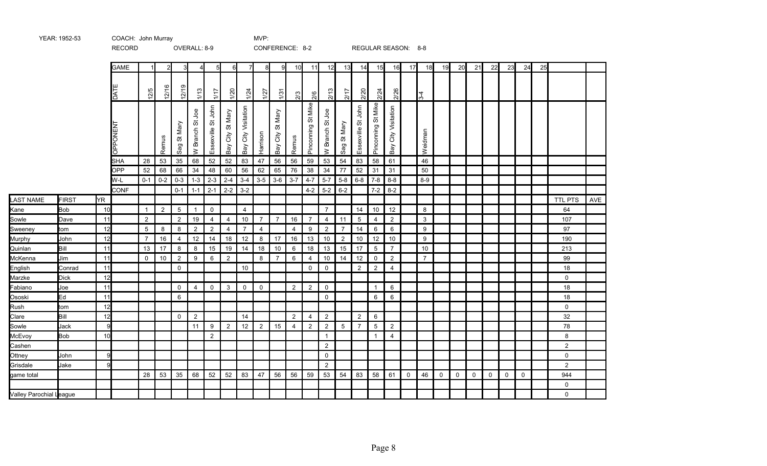|                         | <b>ILAIN.</b> 1994-99 |              | <b>UUAUIL UUIIIIIIIIIIIIII</b><br><b>RECORD</b> |                |                |                     | OVERALL: 8-9    |                     |                  |                        | .              | CONFERENCE: 8-2        |                         |                       |                       |                |                    |                    | REGULAR SEASON: 8-8 |    |                |             |             |             |             |             |             |    |                |     |
|-------------------------|-----------------------|--------------|-------------------------------------------------|----------------|----------------|---------------------|-----------------|---------------------|------------------|------------------------|----------------|------------------------|-------------------------|-----------------------|-----------------------|----------------|--------------------|--------------------|---------------------|----|----------------|-------------|-------------|-------------|-------------|-------------|-------------|----|----------------|-----|
|                         |                       |              | <b>GAME</b>                                     |                | 2              | 3                   | $\overline{4}$  | 5                   | 6                | $\overline{7}$         | 81             | -91                    | 10 <sup>1</sup>         | 11                    | 12                    | 13             | 14                 | 15                 | 16                  | 17 | 18             | 19          | 20          | 21          | 22          | 23          | 24          | 25 |                |     |
|                         |                       |              |                                                 |                |                |                     |                 |                     |                  |                        |                |                        |                         |                       |                       |                |                    |                    |                     |    |                |             |             |             |             |             |             |    |                |     |
|                         |                       |              | <b>DATE</b>                                     | 12/5           | 12/16          | ၜ<br>$\frac{5}{21}$ | 1/13            | 1/17                | 1/20             | 1/24                   | 1/27           | 1/3                    | $\frac{2}{3}$           | $\frac{2}{6}$         | $\frac{2}{13}$        | 2/17           | 2/20               | 2/24               | 2/26                |    | $3-4$          |             |             |             |             |             |             |    |                |     |
|                         |                       |              | OPPONENT                                        |                | Remus          | Sag St Mary         | W Branch St Joe | Essexville St John  | Bay City St Mary | City Visitation<br>Bay | Harrison       | St Mary<br>City<br>Bay | Remus                   | St Mike<br>Pinconning | gol<br>55<br>W Branch | St Mary<br>Sag | Essexville St John | Pinconning St Mike | Bay City Visitation |    | Weidman        |             |             |             |             |             |             |    |                |     |
|                         |                       |              | SHA                                             | 28             | 53             | 35                  | 68              | 52                  | 52               | 83                     | 47             | 56                     | 56                      | 59                    | 53                    | 54             | 83                 | 58                 | 61                  |    | 46             |             |             |             |             |             |             |    |                |     |
|                         |                       |              | <b>OPP</b>                                      | 52             | 68             | 66                  | 34              | 48                  | 60               | 56                     | 62             | 65                     | 76                      | 38                    | 34                    | 77             | 52                 | 31                 | 31                  |    | 50             |             |             |             |             |             |             |    |                |     |
|                         |                       |              | W-L                                             | $0 - 1$        | $0 - 2$        | $0 - 3$             | $1 - 3$         | $2 - 3$             | $2 - 4$          | $3-4$                  | $3-5$          | $3-6$                  | $3 - 7$                 | $4 - 7$               |                       | $5-7$ 5-8      | $6-8$              |                    | $7-8$ 8-8           |    | $8-9$          |             |             |             |             |             |             |    |                |     |
|                         |                       |              | <b>CONF</b>                                     |                |                | $0 - 1$             | $1 - 1$         | $2 - 1$             | $2 - 2$          | $3 - 2$                |                |                        |                         | $4 - 2$               | $5-2$ 6-2             |                |                    | $7-2$              | $8 - 2$             |    |                |             |             |             |             |             |             |    |                |     |
| LAST NAME               | <b>FIRST</b>          | <b>YR</b>    |                                                 |                |                |                     |                 |                     |                  |                        |                |                        |                         |                       |                       |                |                    |                    |                     |    |                |             |             |             |             |             |             |    | TTL PTS        | AVE |
| Kane                    | <b>Bob</b>            | 10           |                                                 | $\overline{1}$ | $\overline{2}$ | $\overline{5}$      | $\overline{1}$  | $\mathsf{O}\xspace$ |                  | $\overline{4}$         |                |                        |                         |                       | $\overline{7}$        |                | 14                 | 10                 | 12                  |    | 8              |             |             |             |             |             |             |    | 64             |     |
| Sowle                   | Dave                  | 11           |                                                 | 2              |                | 2                   | 19              | $\overline{4}$      | $\overline{4}$   | 10                     | $\overline{7}$ | $\overline{7}$         | 16                      | $\overline{7}$        | 4                     | 11             | $5\,$              | $\overline{4}$     | $\overline{2}$      |    | 3              |             |             |             |             |             |             |    | 107            |     |
| Sweeney                 | tom                   | 12           |                                                 | 5              | 8              | 8                   | $\overline{2}$  | $\overline{2}$      | $\overline{4}$   | $\overline{7}$         | $\overline{4}$ |                        | $\overline{\mathbf{4}}$ | 9                     | $\overline{2}$        | $\overline{7}$ | 14                 | 6                  | 6                   |    | 9              |             |             |             |             |             |             |    | 97             |     |
| Murphy                  | John                  | 12           |                                                 | $\overline{7}$ | 16             | $\overline{4}$      | 12              | 14                  | 18               | 12                     | 8              | 17                     | 16                      | 13                    | 10                    | $\overline{2}$ | 10                 | 12                 | 10                  |    | 9              |             |             |             |             |             |             |    | 190            |     |
| Quinlan                 | Bill                  | 11           |                                                 | 13             | 17             | 8                   | 8               | 15                  | 19               | 14                     | 18             | 10                     | 6                       | 18                    | 13                    | 15             | 17                 | $5\overline{)}$    | $\overline{7}$      |    | 10             |             |             |             |             |             |             |    | 213            |     |
| McKenna                 | Jim                   | 11           |                                                 | $\mathbf 0$    | 10             | $\sqrt{2}$          | 9               | 6                   | $\overline{2}$   |                        | 8              | $\overline{7}$         | 6                       | $\overline{4}$        | 10                    | 14             | 12                 | 0                  | $\overline{2}$      |    | $\overline{7}$ |             |             |             |             |             |             |    | 99             |     |
| English                 | Conrad                | 11           |                                                 |                |                | $\mathbf 0$         |                 |                     |                  | 10                     |                |                        |                         | $\Omega$              | $\mathbf 0$           |                | $\overline{2}$     | $\overline{2}$     | $\overline{4}$      |    |                |             |             |             |             |             |             |    | 18             |     |
| Marzke                  | <b>Dick</b>           | 12           |                                                 |                |                |                     |                 |                     |                  |                        |                |                        |                         |                       |                       |                |                    |                    |                     |    |                |             |             |             |             |             |             |    | $\mathsf{O}$   |     |
| Fabiano                 | Joe                   | 11           |                                                 |                |                | $\mathbf 0$         | $\overline{4}$  | $\mathbf 0$         | $\mathbf{3}$     | $\Omega$               | $\Omega$       |                        | 2                       | $\overline{2}$        | $\mathbf 0$           |                |                    | $\overline{1}$     | 6                   |    |                |             |             |             |             |             |             |    | 18             |     |
| Ososki                  | Ed                    | 11           |                                                 |                |                | 6                   |                 |                     |                  |                        |                |                        |                         |                       | $\mathbf 0$           |                |                    | 6                  | 6                   |    |                |             |             |             |             |             |             |    | 18             |     |
| Rush                    | tom                   | 12           |                                                 |                |                |                     |                 |                     |                  |                        |                |                        |                         |                       |                       |                |                    |                    |                     |    |                |             |             |             |             |             |             |    | $\mathbf 0$    |     |
| Clare                   | Bill                  | 12           |                                                 |                |                | $\mathbf{0}$        | $\overline{2}$  |                     |                  | 14                     |                |                        | 2                       | $\overline{4}$        | $\overline{2}$        |                | $\overline{2}$     | 6                  |                     |    |                |             |             |             |             |             |             |    | 32             |     |
| Sowle                   | Jack                  | $\mathbf{Q}$ |                                                 |                |                |                     | 11              | 9                   | $\overline{2}$   | 12                     | $\overline{2}$ | 15                     | $\overline{4}$          | 2                     | $\overline{2}$        | $\overline{5}$ | $\overline{7}$     | $5\overline{)}$    | $\overline{2}$      |    |                |             |             |             |             |             |             |    | 78             |     |
| McEvoy                  | <b>Bob</b>            | 10           |                                                 |                |                |                     |                 | $\overline{2}$      |                  |                        |                |                        |                         |                       | $\mathbf{1}$          |                |                    | $\overline{1}$     | $\overline{4}$      |    |                |             |             |             |             |             |             |    | 8              |     |
| Cashen                  |                       |              |                                                 |                |                |                     |                 |                     |                  |                        |                |                        |                         |                       | $\overline{2}$        |                |                    |                    |                     |    |                |             |             |             |             |             |             |    | $\overline{2}$ |     |
| Ottney                  | John                  | $\mathbf{Q}$ |                                                 |                |                |                     |                 |                     |                  |                        |                |                        |                         |                       | $\mathbf 0$           |                |                    |                    |                     |    |                |             |             |             |             |             |             |    | $\mathbf 0$    |     |
| Grisdale                | Jake                  | q            |                                                 |                |                |                     |                 |                     |                  |                        |                |                        |                         |                       | $\overline{2}$        |                |                    |                    |                     |    |                |             |             |             |             |             |             |    | $\overline{2}$ |     |
| game total              |                       |              |                                                 | 28             | 53             | 35                  | 68              | 52                  | 52               | 83                     | 47             | 56                     | 56                      | 59                    | 53                    | 54             | 83                 | 58                 | 61                  | 0  | 46             | $\mathbf 0$ | $\mathbf 0$ | $\mathbf 0$ | $\mathbf 0$ | $\mathbf 0$ | $\mathbf 0$ |    | 944            |     |
|                         |                       |              |                                                 |                |                |                     |                 |                     |                  |                        |                |                        |                         |                       |                       |                |                    |                    |                     |    |                |             |             |             |             |             |             |    | 0              |     |
| Valley Parochial League |                       |              |                                                 |                |                |                     |                 |                     |                  |                        |                |                        |                         |                       |                       |                |                    |                    |                     |    |                |             |             |             |             |             |             |    | $\mathbf{0}$   |     |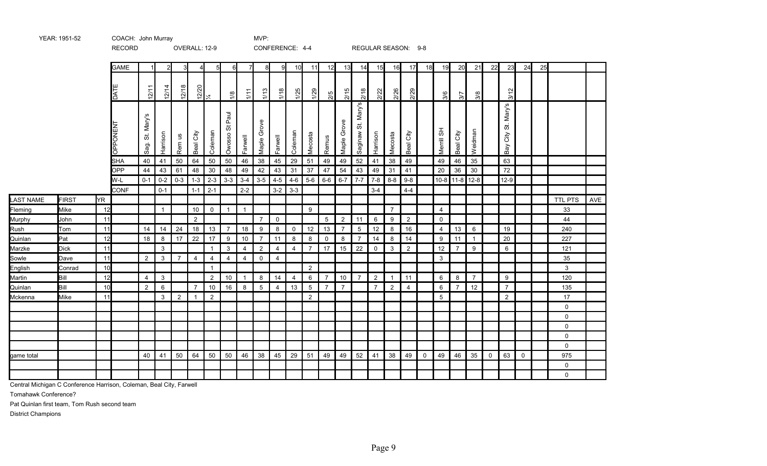|            |              |           | <b>RECORD</b>      |                                                     |                  |                | OVERALL: 12-9               |                    |                     |                    | CONFERENCE: 4-4 |                    |                    |                |                |                |                        |                |                | REGULAR SEASON: 9-8 |             |                |                |                |             |                                                 |             |    |                |     |
|------------|--------------|-----------|--------------------|-----------------------------------------------------|------------------|----------------|-----------------------------|--------------------|---------------------|--------------------|-----------------|--------------------|--------------------|----------------|----------------|----------------|------------------------|----------------|----------------|---------------------|-------------|----------------|----------------|----------------|-------------|-------------------------------------------------|-------------|----|----------------|-----|
|            |              |           | <b>GAME</b>        |                                                     | 21               |                |                             | $5 \blacksquare$   | 6                   | 71                 | 8               | 9                  | 10                 | 11             | 12             | 13             | 14                     | 15             | 16             | 17                  | 18          | 19             | 20             | 21             | 22          | 23                                              | 24          | 25 |                |     |
|            |              |           | DAT                | 12/11                                               | 12/14            | 12/18          | $\frac{12/20}{\frac{1}{4}}$ |                    | $\frac{8}{2}$       | 1/11               | 1/13            | 1/18               | $\frac{125}{2}$    | 1/29           | 2/5            | 2/15           | 2/18                   | 2/22           | 2/26           | 2/29                |             | 3/6            | 3/7            | 3/8            |             | 3/12                                            |             |    |                |     |
|            |              |           | OPPONEN            | Mary's<br>$\overleftrightarrow{\mathrm{o}}$<br>Sag. | Harrison         | Sn<br>Rem      | Beal City                   | Coleman            | Paul<br>ö<br>Owosso | Farwell            | Grove<br>Maple  | Farwell            | Coleman            | Mecosta        | Remus          | Grove<br>Maple | Mary's<br>5<br>Saginaw | Harrison       | Mecosta        | City<br>Beal        |             | Merrill SH     | Beal City      | Weidman        |             | Mary's<br>$\ddot{\tilde{\circ}}$<br>City<br>Bay |             |    |                |     |
|            |              |           | <b>SHA</b>         | 40                                                  | 41               | 50             | 64                          | 50                 | 50                  | 46                 | 38              | 45                 | 29                 | 51             | 49             | 49             | 52                     | 41             | 38             | 49                  |             | 49             | 46             | 35             |             | 63                                              |             |    |                |     |
|            |              |           | <b>OPP</b>         | 44                                                  | 43               | 61             | 48                          | 30                 | 48                  | 49                 | 42<br>$3-5$     | 43                 | 31                 | 37             | 47             | 54             | 43                     | 49             | 31             | 41                  |             | 20             | 36             | 30             |             | 72                                              |             |    |                |     |
|            |              |           | W-L<br><b>CONF</b> | $0 - 1$                                             | $0-2$<br>$0 - 1$ | $0 - 3$        | $1 - 3$<br>$1 - 1$          | $2 - 3$<br>$2 - 1$ | $3 - 3$             | $3 - 4$<br>$2 - 2$ |                 | $4 - 5$<br>$3 - 2$ | $4 - 6$<br>$3 - 3$ | $5-6$          | $6-6$          | $6 - 7$        | $7 - 7$                | $3 - 4$        | $7-8$ 8-8      | $9-8$<br>$4 - 4$    |             | $10-8$         | $11 - 8$       | $12-8$         |             | $12-9$                                          |             |    |                |     |
| LAST NAME  | <b>FIRST</b> | <b>YR</b> |                    |                                                     |                  |                |                             |                    |                     |                    |                 |                    |                    |                |                |                |                        |                |                |                     |             |                |                |                |             |                                                 |             |    | TTL PTS        | AVE |
| Fleming    | Mike         | 12        |                    |                                                     | $\mathbf{1}$     |                | 10                          | 0                  | $\mathbf{1}$        | $\overline{1}$     |                 |                    |                    | 9              |                |                |                        |                | $\overline{7}$ |                     |             | $\overline{4}$ |                |                |             |                                                 |             |    | 33             |     |
| Murphy     | John         | 11        |                    |                                                     |                  |                | $\overline{2}$              |                    |                     |                    | $\overline{7}$  | $\mathbf 0$        |                    |                | $5\,$          | $\overline{2}$ | 11                     | 6              | 9              | $\overline{2}$      |             | $\mathbf 0$    |                |                |             |                                                 |             |    | 44             |     |
| Rush       | Tom          | 11        |                    | 14                                                  | 14               | 24             | 18                          | 13                 | $\overline{7}$      | 18                 | 9               | 8                  | $\mathbf 0$        | 12             | 13             | $\overline{7}$ | $5\phantom{.0}$        | 12             | 8              | 16                  |             | 4              | 13             | 6              |             | 19                                              |             |    | 240            |     |
| Quinlan    | Pat          | 12        |                    | 18                                                  | 8                | 17             | 22                          | 17                 | 9                   | 10                 | $\overline{7}$  | 11                 | 8                  | 8              | $\mathbf 0$    | 8              | $\overline{7}$         | 14             | 8              | 14                  |             | 9              | 11             | $\mathbf{1}$   |             | 20                                              |             |    | 227            |     |
| Marzke     | <b>Dick</b>  | 11        |                    |                                                     | 3                |                |                             | $\mathbf{1}$       | 3                   | $\overline{4}$     | $\overline{2}$  | $\overline{4}$     | $\overline{4}$     | $\overline{7}$ | 17             | 15             | 22                     | 0              | 3              | $\overline{2}$      |             | 12             | $\overline{7}$ | 9              |             | 6                                               |             |    | 121            |     |
| Sowle      | Dave         | 11        |                    | $\overline{2}$                                      | 3                | $\overline{7}$ | $\overline{4}$              | $\overline{4}$     | $\overline{4}$      | $\overline{4}$     | $\mathbf 0$     | $\overline{4}$     |                    |                |                |                |                        |                |                |                     |             | 3              |                |                |             |                                                 |             |    | 35             |     |
| English    | Conrad       | 10        |                    |                                                     |                  |                |                             | $\overline{1}$     |                     |                    |                 |                    |                    | $\overline{2}$ |                |                |                        |                |                |                     |             |                |                |                |             |                                                 |             |    | 3 <sup>1</sup> |     |
| Martin     | Bill         | 12        |                    | 4                                                   | 3                |                |                             | $\overline{2}$     | 10                  | $\overline{1}$     | 8               | 14                 | 4                  | 6              | 7              | 10             | $\overline{7}$         | $\overline{2}$ | $\overline{1}$ | 11                  |             | 6              | 8              | $\overline{7}$ |             | 9                                               |             |    | 120            |     |
| Quinlan    | Bill         | 10        |                    | 2                                                   | 6                |                | $\overline{7}$              | 10                 | 16                  | 8                  | $5\overline{5}$ | $\overline{4}$     | 13                 | 5              | $\overline{7}$ | $\overline{7}$ |                        | $\overline{7}$ | 2              | $\overline{4}$      |             | 6              | $\overline{7}$ | 12             |             | $\overline{7}$                                  |             |    | 135            |     |
| Mckenna    | Mike         | 11        |                    |                                                     | 3                | $\overline{2}$ | $\overline{1}$              | $\overline{2}$     |                     |                    |                 |                    |                    | 2              |                |                |                        |                |                |                     |             | 5              |                |                |             | $\overline{2}$                                  |             |    | 17             |     |
|            |              |           |                    |                                                     |                  |                |                             |                    |                     |                    |                 |                    |                    |                |                |                |                        |                |                |                     |             |                |                |                |             |                                                 |             |    | 0              |     |
|            |              |           |                    |                                                     |                  |                |                             |                    |                     |                    |                 |                    |                    |                |                |                |                        |                |                |                     |             |                |                |                |             |                                                 |             |    | 0              |     |
|            |              |           |                    |                                                     |                  |                |                             |                    |                     |                    |                 |                    |                    |                |                |                |                        |                |                |                     |             |                |                |                |             |                                                 |             |    | 0              |     |
|            |              |           |                    |                                                     |                  |                |                             |                    |                     |                    |                 |                    |                    |                |                |                |                        |                |                |                     |             |                |                |                |             |                                                 |             |    | 0              |     |
|            |              |           |                    |                                                     |                  |                |                             |                    |                     |                    |                 |                    |                    |                |                |                |                        |                |                |                     |             |                |                |                |             |                                                 |             |    | $\mathsf{O}$   |     |
| game total |              |           |                    | 40                                                  | 41               | 50             | 64                          | 50                 | 50                  | 46                 | 38              | 45                 | 29                 | 51             | 49             | 49             | 52                     | 41             | 38             | 49                  | $\mathbf 0$ | 49             | 46             | 35             | $\mathbf 0$ | 63                                              | $\mathbf 0$ |    | 975            |     |
|            |              |           |                    |                                                     |                  |                |                             |                    |                     |                    |                 |                    |                    |                |                |                |                        |                |                |                     |             |                |                |                |             |                                                 |             |    | $\Omega$       |     |
|            |              |           |                    |                                                     |                  |                |                             |                    |                     |                    |                 |                    |                    |                |                |                |                        |                |                |                     |             |                |                |                |             |                                                 |             |    | 0              |     |

Central Michigan C Conference Harrison, Coleman, Beal City, Farwell

YEAR: 1951-52 COACH: John Murray COACH: WHO MUP:

Tomahawk Conference?

Pat Quinlan first team, Tom Rush second team

District Champions